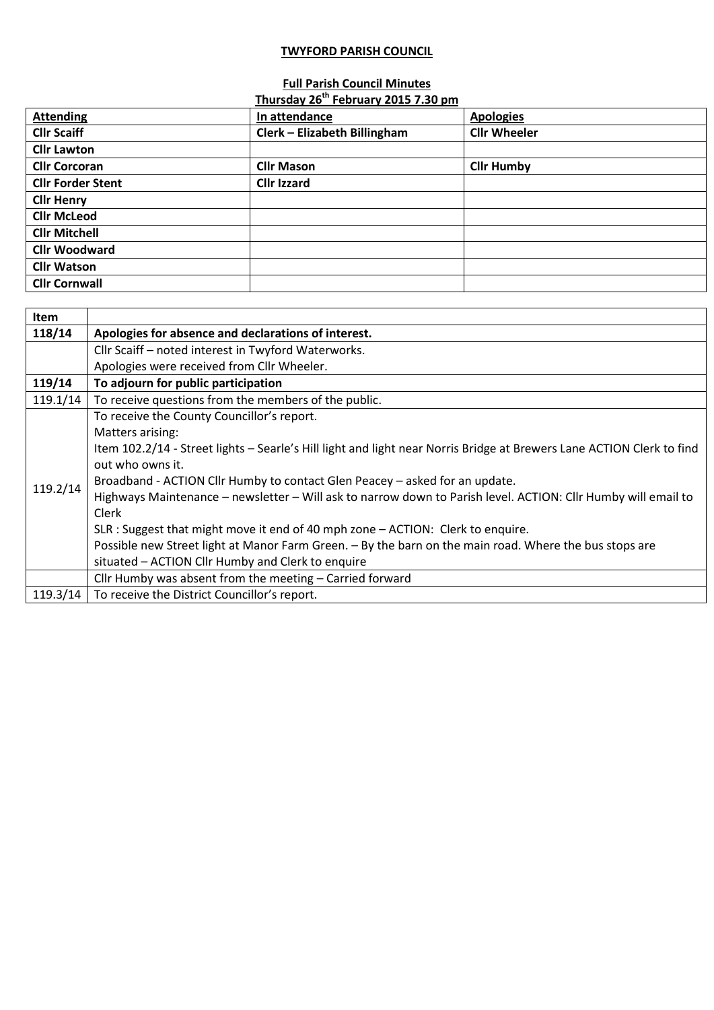## **TWYFORD PARISH COUNCIL**

## **Full Parish Council Minutes**

|                          | Thursday 26 <sup>th</sup> February 2015 7.30 pm |                     |
|--------------------------|-------------------------------------------------|---------------------|
| <b>Attending</b>         | In attendance                                   | <b>Apologies</b>    |
| <b>Cllr Scaiff</b>       | Clerk - Elizabeth Billingham                    | <b>Cllr Wheeler</b> |
| <b>Cllr Lawton</b>       |                                                 |                     |
| <b>Cllr Corcoran</b>     | <b>Cllr Mason</b>                               | <b>Cllr Humby</b>   |
| <b>Cllr Forder Stent</b> | <b>Cllr Izzard</b>                              |                     |
| <b>Cllr Henry</b>        |                                                 |                     |
| <b>Cllr McLeod</b>       |                                                 |                     |
| <b>Cllr Mitchell</b>     |                                                 |                     |
| <b>Cllr Woodward</b>     |                                                 |                     |
| <b>Cllr Watson</b>       |                                                 |                     |
| <b>Cllr Cornwall</b>     |                                                 |                     |

| Item     |                                                                                                                       |
|----------|-----------------------------------------------------------------------------------------------------------------------|
| 118/14   | Apologies for absence and declarations of interest.                                                                   |
|          | Cllr Scaiff - noted interest in Twyford Waterworks.                                                                   |
|          | Apologies were received from Cllr Wheeler.                                                                            |
| 119/14   | To adjourn for public participation                                                                                   |
| 119.1/14 | To receive questions from the members of the public.                                                                  |
| 119.2/14 | To receive the County Councillor's report.                                                                            |
|          | Matters arising:                                                                                                      |
|          | Item 102.2/14 - Street lights - Searle's Hill light and light near Norris Bridge at Brewers Lane ACTION Clerk to find |
|          | out who owns it.                                                                                                      |
|          | Broadband - ACTION Cllr Humby to contact Glen Peacey - asked for an update.                                           |
|          | Highways Maintenance - newsletter - Will ask to narrow down to Parish level. ACTION: Cllr Humby will email to         |
|          | Clerk                                                                                                                 |
|          | SLR : Suggest that might move it end of 40 mph zone - ACTION: Clerk to enquire.                                       |
|          | Possible new Street light at Manor Farm Green. - By the barn on the main road. Where the bus stops are                |
|          | situated - ACTION Cllr Humby and Clerk to enquire                                                                     |
|          | Cllr Humby was absent from the meeting - Carried forward                                                              |
| 119.3/14 | To receive the District Councillor's report.                                                                          |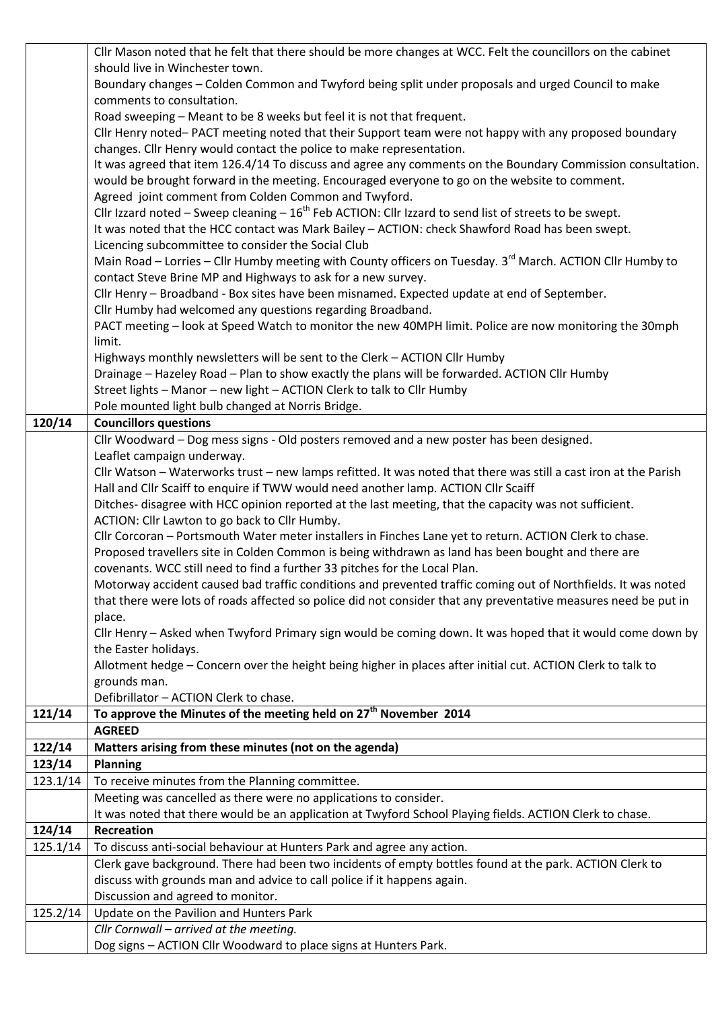|          | Cllr Mason noted that he felt that there should be more changes at WCC. Felt the councillors on the cabinet           |
|----------|-----------------------------------------------------------------------------------------------------------------------|
|          | should live in Winchester town.                                                                                       |
|          | Boundary changes - Colden Common and Twyford being split under proposals and urged Council to make                    |
|          | comments to consultation.                                                                                             |
|          | Road sweeping - Meant to be 8 weeks but feel it is not that frequent.                                                 |
|          | Cllr Henry noted-PACT meeting noted that their Support team were not happy with any proposed boundary                 |
|          | changes. Cllr Henry would contact the police to make representation.                                                  |
|          | It was agreed that item 126.4/14 To discuss and agree any comments on the Boundary Commission consultation.           |
|          | would be brought forward in the meeting. Encouraged everyone to go on the website to comment.                         |
|          | Agreed joint comment from Colden Common and Twyford.                                                                  |
|          | Cllr Izzard noted – Sweep cleaning – $16^{th}$ Feb ACTION: Cllr Izzard to send list of streets to be swept.           |
|          | It was noted that the HCC contact was Mark Bailey - ACTION: check Shawford Road has been swept.                       |
|          | Licencing subcommittee to consider the Social Club                                                                    |
|          | Main Road - Lorries - Cllr Humby meeting with County officers on Tuesday. 3 <sup>rd</sup> March. ACTION Cllr Humby to |
|          | contact Steve Brine MP and Highways to ask for a new survey.                                                          |
|          | Cllr Henry - Broadband - Box sites have been misnamed. Expected update at end of September.                           |
|          | Cllr Humby had welcomed any questions regarding Broadband.                                                            |
|          | PACT meeting - look at Speed Watch to monitor the new 40MPH limit. Police are now monitoring the 30mph                |
|          | limit.                                                                                                                |
|          | Highways monthly newsletters will be sent to the Clerk - ACTION Cllr Humby                                            |
|          | Drainage - Hazeley Road - Plan to show exactly the plans will be forwarded. ACTION Cllr Humby                         |
|          | Street lights - Manor - new light - ACTION Clerk to talk to Cllr Humby                                                |
|          | Pole mounted light bulb changed at Norris Bridge.                                                                     |
| 120/14   | <b>Councillors questions</b>                                                                                          |
|          | Cllr Woodward - Dog mess signs - Old posters removed and a new poster has been designed.                              |
|          | Leaflet campaign underway.                                                                                            |
|          | Cllr Watson - Waterworks trust - new lamps refitted. It was noted that there was still a cast iron at the Parish      |
|          | Hall and Cllr Scaiff to enquire if TWW would need another lamp. ACTION Cllr Scaiff                                    |
|          | Ditches- disagree with HCC opinion reported at the last meeting, that the capacity was not sufficient.                |
|          | ACTION: Cllr Lawton to go back to Cllr Humby.                                                                         |
|          | Cllr Corcoran - Portsmouth Water meter installers in Finches Lane yet to return. ACTION Clerk to chase.               |
|          | Proposed travellers site in Colden Common is being withdrawn as land has been bought and there are                    |
|          | covenants. WCC still need to find a further 33 pitches for the Local Plan.                                            |
|          | Motorway accident caused bad traffic conditions and prevented traffic coming out of Northfields. It was noted         |
|          | that there were lots of roads affected so police did not consider that any preventative measures need be put in       |
|          | place.                                                                                                                |
|          | Cllr Henry - Asked when Twyford Primary sign would be coming down. It was hoped that it would come down by            |
|          | the Easter holidays.                                                                                                  |
|          | Allotment hedge - Concern over the height being higher in places after initial cut. ACTION Clerk to talk to           |
|          | grounds man.                                                                                                          |
|          | Defibrillator - ACTION Clerk to chase.                                                                                |
| 121/14   | To approve the Minutes of the meeting held on 27 <sup>th</sup> November 2014                                          |
|          | <b>AGREED</b>                                                                                                         |
| 122/14   | Matters arising from these minutes (not on the agenda)                                                                |
| 123/14   | <b>Planning</b>                                                                                                       |
| 123.1/14 | To receive minutes from the Planning committee.                                                                       |
|          | Meeting was cancelled as there were no applications to consider.                                                      |
|          | It was noted that there would be an application at Twyford School Playing fields. ACTION Clerk to chase.              |
| 124/14   | Recreation                                                                                                            |
| 125.1/14 | To discuss anti-social behaviour at Hunters Park and agree any action.                                                |
|          | Clerk gave background. There had been two incidents of empty bottles found at the park. ACTION Clerk to               |
|          | discuss with grounds man and advice to call police if it happens again.                                               |
|          | Discussion and agreed to monitor.                                                                                     |
| 125.2/14 | Update on the Pavilion and Hunters Park                                                                               |
|          | Cllr Cornwall - arrived at the meeting.                                                                               |
|          | Dog signs - ACTION Cllr Woodward to place signs at Hunters Park.                                                      |
|          |                                                                                                                       |